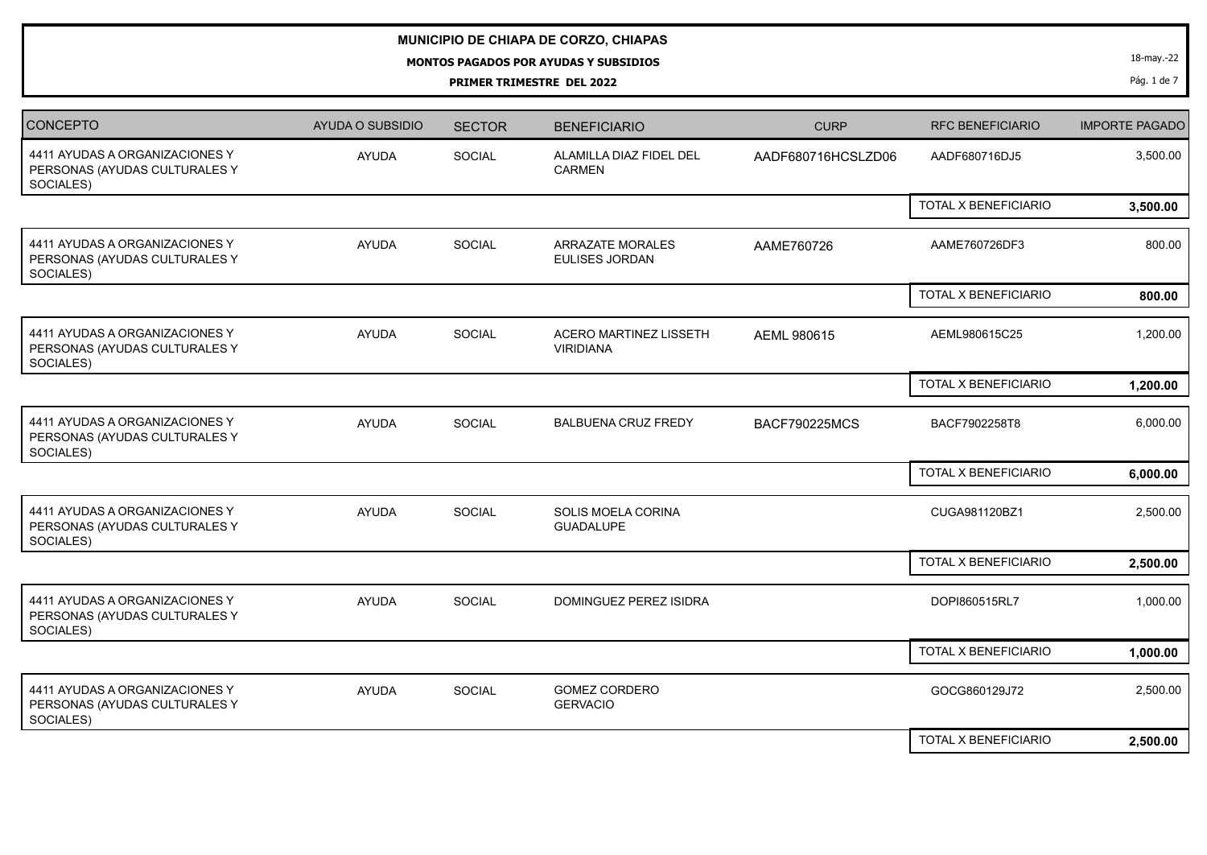## **MUNICIPIO DE CHIAPA DE CORZO, CHIAPAS**

**MONTOS PAGADOS POR AYUDAS Y SUBSIDIOS**

**PRIMER TRIMESTRE DEL 2022**

18-may.-22

Pág. 1 de 7

| <b>CONCEPTO</b>                                                              | <b>AYUDA O SUBSIDIO</b> | <b>SECTOR</b> | <b>BENEFICIARIO</b>                        | <b>CURP</b>          | <b>RFC BENEFICIARIO</b> | <b>IMPORTE PAGADO</b> |
|------------------------------------------------------------------------------|-------------------------|---------------|--------------------------------------------|----------------------|-------------------------|-----------------------|
| 4411 AYUDAS A ORGANIZACIONES Y<br>PERSONAS (AYUDAS CULTURALES Y<br>SOCIALES) | AYUDA                   | SOCIAL        | ALAMILLA DIAZ FIDEL DEL<br><b>CARMEN</b>   | AADF680716HCSLZD06   | AADF680716DJ5           | 3,500.00              |
|                                                                              |                         |               |                                            |                      | TOTAL X BENEFICIARIO    | 3,500.00              |
| 4411 AYUDAS A ORGANIZACIONES Y<br>PERSONAS (AYUDAS CULTURALES Y<br>SOCIALES) | <b>AYUDA</b>            | <b>SOCIAL</b> | <b>ARRAZATE MORALES</b><br>EULISES JORDAN  | AAME760726           | AAME760726DF3           | 800.00                |
|                                                                              |                         |               |                                            |                      | TOTAL X BENEFICIARIO    | 800.00                |
| 4411 AYUDAS A ORGANIZACIONES Y<br>PERSONAS (AYUDAS CULTURALES Y<br>SOCIALES) | <b>AYUDA</b>            | SOCIAL        | ACERO MARTINEZ LISSETH<br><b>VIRIDIANA</b> | AEML 980615          | AEML980615C25           | 1,200.00              |
|                                                                              |                         |               |                                            |                      | TOTAL X BENEFICIARIO    | 1,200.00              |
| 4411 AYUDAS A ORGANIZACIONES Y<br>PERSONAS (AYUDAS CULTURALES Y<br>SOCIALES) | <b>AYUDA</b>            | SOCIAL        | <b>BALBUENA CRUZ FREDY</b>                 | <b>BACF790225MCS</b> | BACF7902258T8           | 6,000.00              |
|                                                                              |                         |               |                                            |                      | TOTAL X BENEFICIARIO    | 6,000.00              |
| 4411 AYUDAS A ORGANIZACIONES Y<br>PERSONAS (AYUDAS CULTURALES Y<br>SOCIALES) | <b>AYUDA</b>            | SOCIAL        | SOLIS MOELA CORINA<br><b>GUADALUPE</b>     |                      | CUGA981120BZ1           | 2,500.00              |
|                                                                              |                         |               |                                            |                      | TOTAL X BENEFICIARIO    | 2,500.00              |
| 4411 AYUDAS A ORGANIZACIONES Y<br>PERSONAS (AYUDAS CULTURALES Y<br>SOCIALES) | AYUDA                   | SOCIAL        | DOMINGUEZ PEREZ ISIDRA                     |                      | DOPI860515RL7           | 1,000.00              |
|                                                                              |                         |               |                                            |                      | TOTAL X BENEFICIARIO    | 1,000.00              |
| 4411 AYUDAS A ORGANIZACIONES Y<br>PERSONAS (AYUDAS CULTURALES Y<br>SOCIALES) | <b>AYUDA</b>            | SOCIAL        | <b>GOMEZ CORDERO</b><br><b>GERVACIO</b>    |                      | GOCG860129J72           | 2,500.00              |
|                                                                              |                         |               |                                            |                      | TOTAL X BENEFICIARIO    | 2,500.00              |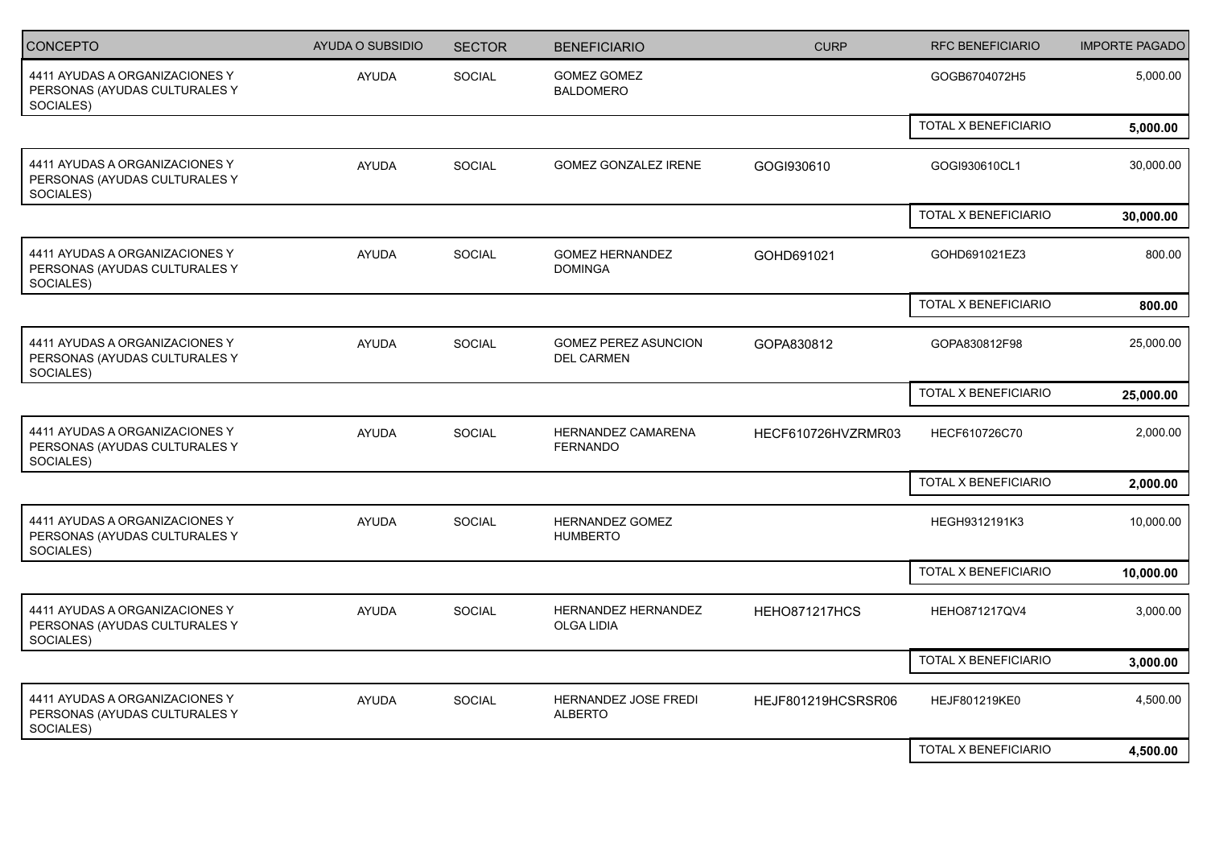| <b>CONCEPTO</b>                                                              | <b>AYUDA O SUBSIDIO</b> | <b>SECTOR</b> | <b>BENEFICIARIO</b>                              | <b>CURP</b>          | <b>RFC BENEFICIARIO</b>     | <b>IMPORTE PAGADO</b> |
|------------------------------------------------------------------------------|-------------------------|---------------|--------------------------------------------------|----------------------|-----------------------------|-----------------------|
| 4411 AYUDAS A ORGANIZACIONES Y<br>PERSONAS (AYUDAS CULTURALES Y<br>SOCIALES) | <b>AYUDA</b>            | SOCIAL        | <b>GOMEZ GOMEZ</b><br><b>BALDOMERO</b>           |                      | GOGB6704072H5               | 5,000.00              |
|                                                                              |                         |               |                                                  |                      | TOTAL X BENEFICIARIO        | 5,000.00              |
| 4411 AYUDAS A ORGANIZACIONES Y<br>PERSONAS (AYUDAS CULTURALES Y<br>SOCIALES) | <b>AYUDA</b>            | SOCIAL        | GOMEZ GONZALEZ IRENE                             | GOGI930610           | GOGI930610CL1               | 30,000.00             |
|                                                                              |                         |               |                                                  |                      | TOTAL X BENEFICIARIO        | 30,000.00             |
| 4411 AYUDAS A ORGANIZACIONES Y<br>PERSONAS (AYUDAS CULTURALES Y<br>SOCIALES) | <b>AYUDA</b>            | <b>SOCIAL</b> | <b>GOMEZ HERNANDEZ</b><br><b>DOMINGA</b>         | GOHD691021           | GOHD691021EZ3               | 800.00                |
|                                                                              |                         |               |                                                  |                      | <b>TOTAL X BENEFICIARIO</b> | 800.00                |
| 4411 AYUDAS A ORGANIZACIONES Y<br>PERSONAS (AYUDAS CULTURALES Y<br>SOCIALES) | <b>AYUDA</b>            | SOCIAL        | <b>GOMEZ PEREZ ASUNCION</b><br><b>DEL CARMEN</b> | GOPA830812           | GOPA830812F98               | 25,000.00             |
|                                                                              |                         |               |                                                  |                      | TOTAL X BENEFICIARIO        | 25,000.00             |
| 4411 AYUDAS A ORGANIZACIONES Y<br>PERSONAS (AYUDAS CULTURALES Y<br>SOCIALES) | <b>AYUDA</b>            | SOCIAL        | HERNANDEZ CAMARENA<br><b>FERNANDO</b>            | HECF610726HVZRMR03   | HECF610726C70               | 2,000.00              |
|                                                                              |                         |               |                                                  |                      | TOTAL X BENEFICIARIO        | 2,000.00              |
| 4411 AYUDAS A ORGANIZACIONES Y<br>PERSONAS (AYUDAS CULTURALES Y<br>SOCIALES) | <b>AYUDA</b>            | SOCIAL        | HERNANDEZ GOMEZ<br><b>HUMBERTO</b>               |                      | HEGH9312191K3               | 10,000.00             |
|                                                                              |                         |               |                                                  |                      | TOTAL X BENEFICIARIO        | 10,000.00             |
| 4411 AYUDAS A ORGANIZACIONES Y<br>PERSONAS (AYUDAS CULTURALES Y<br>SOCIALES) | AYUDA                   | SOCIAL        | HERNANDEZ HERNANDEZ<br><b>OLGA LIDIA</b>         | <b>HEHO871217HCS</b> | HEHO871217QV4               | 3,000.00              |
|                                                                              |                         |               |                                                  |                      | TOTAL X BENEFICIARIO        | 3,000.00              |
| 4411 AYUDAS A ORGANIZACIONES Y<br>PERSONAS (AYUDAS CULTURALES Y<br>SOCIALES) | <b>AYUDA</b>            | SOCIAL        | HERNANDEZ JOSE FREDI<br><b>ALBERTO</b>           | HEJF801219HCSRSR06   | HEJF801219KE0               | 4,500.00              |
|                                                                              |                         |               |                                                  |                      | TOTAL X BENEFICIARIO        | 4,500.00              |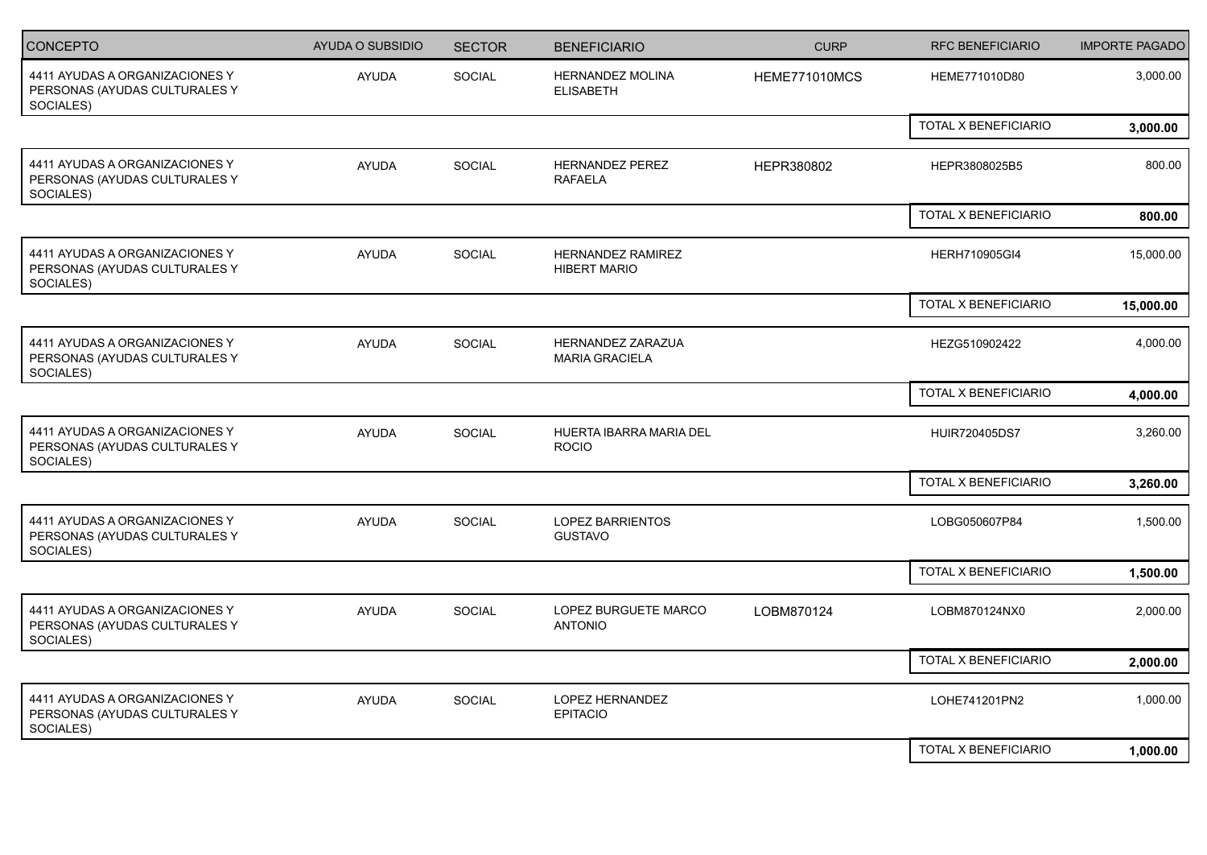| CONCEPTO                                                                     | <b>AYUDA O SUBSIDIO</b> | <b>SECTOR</b> | <b>BENEFICIARIO</b>                               | <b>CURP</b>          | <b>RFC BENEFICIARIO</b>     | <b>IMPORTE PAGADO</b> |
|------------------------------------------------------------------------------|-------------------------|---------------|---------------------------------------------------|----------------------|-----------------------------|-----------------------|
| 4411 AYUDAS A ORGANIZACIONES Y<br>PERSONAS (AYUDAS CULTURALES Y<br>SOCIALES) | <b>AYUDA</b>            | SOCIAL        | <b>HERNANDEZ MOLINA</b><br><b>ELISABETH</b>       | <b>HEME771010MCS</b> | HEME771010D80               | 3,000.00              |
|                                                                              |                         |               |                                                   |                      | TOTAL X BENEFICIARIO        | 3,000.00              |
| 4411 AYUDAS A ORGANIZACIONES Y<br>PERSONAS (AYUDAS CULTURALES Y<br>SOCIALES) | <b>AYUDA</b>            | SOCIAL        | HERNANDEZ PEREZ<br><b>RAFAELA</b>                 | HEPR380802           | HEPR3808025B5               | 800.00                |
|                                                                              |                         |               |                                                   |                      | TOTAL X BENEFICIARIO        | 800.00                |
| 4411 AYUDAS A ORGANIZACIONES Y<br>PERSONAS (AYUDAS CULTURALES Y<br>SOCIALES) | <b>AYUDA</b>            | SOCIAL        | <b>HERNANDEZ RAMIREZ</b><br><b>HIBERT MARIO</b>   |                      | <b>HERH710905GI4</b>        | 15,000.00             |
|                                                                              |                         |               |                                                   |                      | <b>TOTAL X BENEFICIARIO</b> | 15,000.00             |
| 4411 AYUDAS A ORGANIZACIONES Y<br>PERSONAS (AYUDAS CULTURALES Y<br>SOCIALES) | <b>AYUDA</b>            | SOCIAL        | <b>HERNANDEZ ZARAZUA</b><br><b>MARIA GRACIELA</b> |                      | HEZG510902422               | 4,000.00              |
|                                                                              |                         |               |                                                   |                      | TOTAL X BENEFICIARIO        | 4,000.00              |
| 4411 AYUDAS A ORGANIZACIONES Y<br>PERSONAS (AYUDAS CULTURALES Y<br>SOCIALES) | <b>AYUDA</b>            | SOCIAL        | HUERTA IBARRA MARIA DEL<br><b>ROCIO</b>           |                      | HUIR720405DS7               | 3,260.00              |
|                                                                              |                         |               |                                                   |                      | TOTAL X BENEFICIARIO        | 3,260.00              |
| 4411 AYUDAS A ORGANIZACIONES Y<br>PERSONAS (AYUDAS CULTURALES Y<br>SOCIALES) | AYUDA                   | SOCIAL        | <b>LOPEZ BARRIENTOS</b><br><b>GUSTAVO</b>         |                      | LOBG050607P84               | 1,500.00              |
|                                                                              |                         |               |                                                   |                      | TOTAL X BENEFICIARIO        | 1,500.00              |
| 4411 AYUDAS A ORGANIZACIONES Y<br>PERSONAS (AYUDAS CULTURALES Y<br>SOCIALES) | <b>AYUDA</b>            | SOCIAL        | LOPEZ BURGUETE MARCO<br><b>ANTONIO</b>            | LOBM870124           | LOBM870124NX0               | 2,000.00              |
|                                                                              |                         |               |                                                   |                      | TOTAL X BENEFICIARIO        | 2,000.00              |
| 4411 AYUDAS A ORGANIZACIONES Y<br>PERSONAS (AYUDAS CULTURALES Y<br>SOCIALES) | <b>AYUDA</b>            | SOCIAL        | LOPEZ HERNANDEZ<br><b>EPITACIO</b>                |                      | LOHE741201PN2               | 1,000.00              |
|                                                                              |                         |               |                                                   |                      | TOTAL X BENEFICIARIO        | 1,000.00              |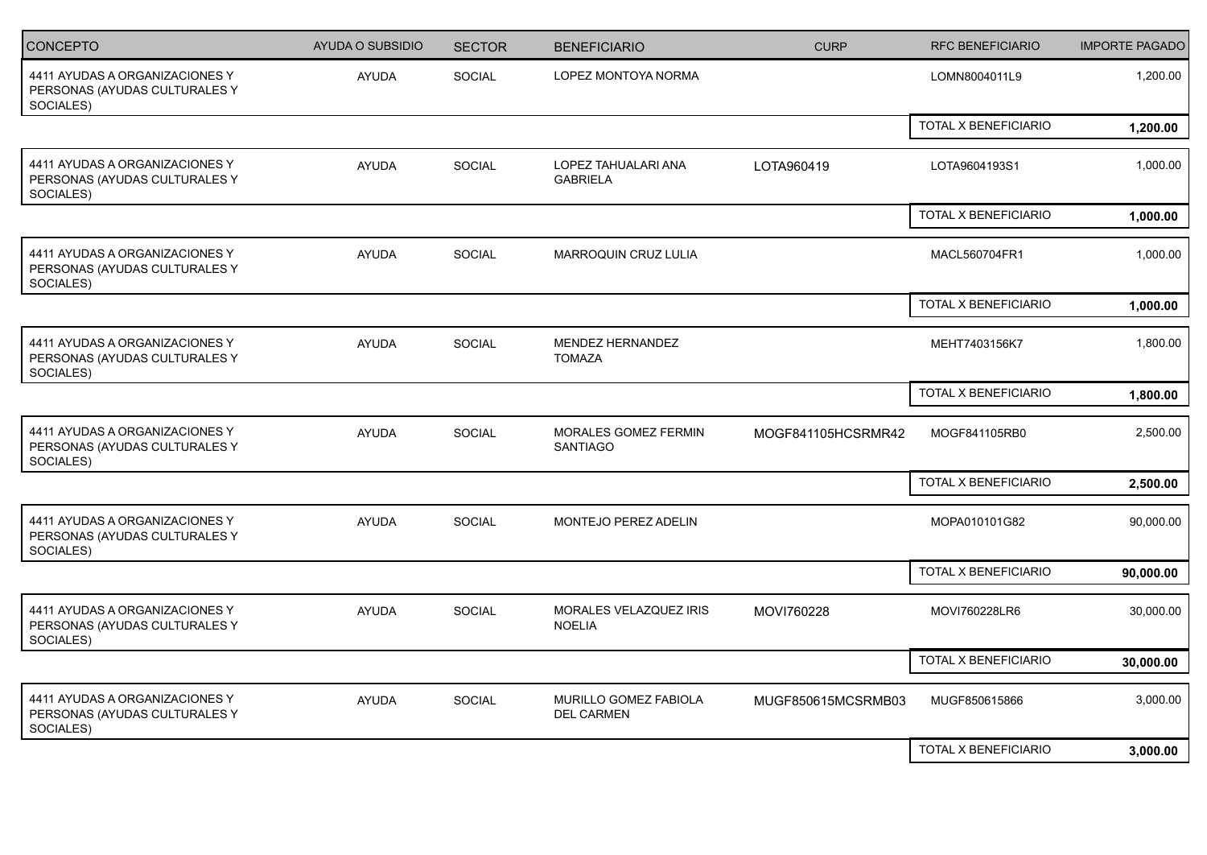| CONCEPTO                                                                     | <b>AYUDA O SUBSIDIO</b> | <b>SECTOR</b> | <b>BENEFICIARIO</b>                        | <b>CURP</b>        | <b>RFC BENEFICIARIO</b> | <b>IMPORTE PAGADO</b> |
|------------------------------------------------------------------------------|-------------------------|---------------|--------------------------------------------|--------------------|-------------------------|-----------------------|
| 4411 AYUDAS A ORGANIZACIONES Y<br>PERSONAS (AYUDAS CULTURALES Y<br>SOCIALES) | AYUDA                   | SOCIAL        | LOPEZ MONTOYA NORMA                        |                    | LOMN8004011L9           | 1,200.00              |
|                                                                              |                         |               |                                            |                    | TOTAL X BENEFICIARIO    | 1,200.00              |
| 4411 AYUDAS A ORGANIZACIONES Y<br>PERSONAS (AYUDAS CULTURALES Y<br>SOCIALES) | <b>AYUDA</b>            | <b>SOCIAL</b> | LOPEZ TAHUALARI ANA<br><b>GABRIELA</b>     | LOTA960419         | LOTA9604193S1           | 1,000.00              |
|                                                                              |                         |               |                                            |                    | TOTAL X BENEFICIARIO    | 1,000.00              |
| 4411 AYUDAS A ORGANIZACIONES Y<br>PERSONAS (AYUDAS CULTURALES Y<br>SOCIALES) | <b>AYUDA</b>            | <b>SOCIAL</b> | MARROQUIN CRUZ LULIA                       |                    | MACL560704FR1           | 1,000.00              |
|                                                                              |                         |               |                                            |                    | TOTAL X BENEFICIARIO    | 1,000.00              |
| 4411 AYUDAS A ORGANIZACIONES Y<br>PERSONAS (AYUDAS CULTURALES Y<br>SOCIALES) | <b>AYUDA</b>            | SOCIAL        | MENDEZ HERNANDEZ<br><b>TOMAZA</b>          |                    | MEHT7403156K7           | 1,800.00              |
|                                                                              |                         |               |                                            |                    | TOTAL X BENEFICIARIO    | 1,800.00              |
| 4411 AYUDAS A ORGANIZACIONES Y<br>PERSONAS (AYUDAS CULTURALES Y<br>SOCIALES) | <b>AYUDA</b>            | SOCIAL        | MORALES GOMEZ FERMIN<br><b>SANTIAGO</b>    | MOGF841105HCSRMR42 | MOGF841105RB0           | 2,500.00              |
|                                                                              |                         |               |                                            |                    | TOTAL X BENEFICIARIO    | 2,500.00              |
| 4411 AYUDAS A ORGANIZACIONES Y<br>PERSONAS (AYUDAS CULTURALES Y<br>SOCIALES) | AYUDA                   | SOCIAL        | MONTEJO PEREZ ADELIN                       |                    | MOPA010101G82           | 90,000.00             |
|                                                                              |                         |               |                                            |                    | TOTAL X BENEFICIARIO    | 90,000.00             |
| 4411 AYUDAS A ORGANIZACIONES Y<br>PERSONAS (AYUDAS CULTURALES Y<br>SOCIALES) | <b>AYUDA</b>            | <b>SOCIAL</b> | MORALES VELAZQUEZ IRIS<br><b>NOELIA</b>    | MOVI760228         | MOVI760228LR6           | 30,000.00             |
|                                                                              |                         |               |                                            |                    | TOTAL X BENEFICIARIO    | 30,000.00             |
| 4411 AYUDAS A ORGANIZACIONES Y<br>PERSONAS (AYUDAS CULTURALES Y<br>SOCIALES) | <b>AYUDA</b>            | SOCIAL        | MURILLO GOMEZ FABIOLA<br><b>DEL CARMEN</b> | MUGF850615MCSRMB03 | MUGF850615866           | 3,000.00              |
|                                                                              |                         |               |                                            |                    | TOTAL X BENEFICIARIO    | 3,000.00              |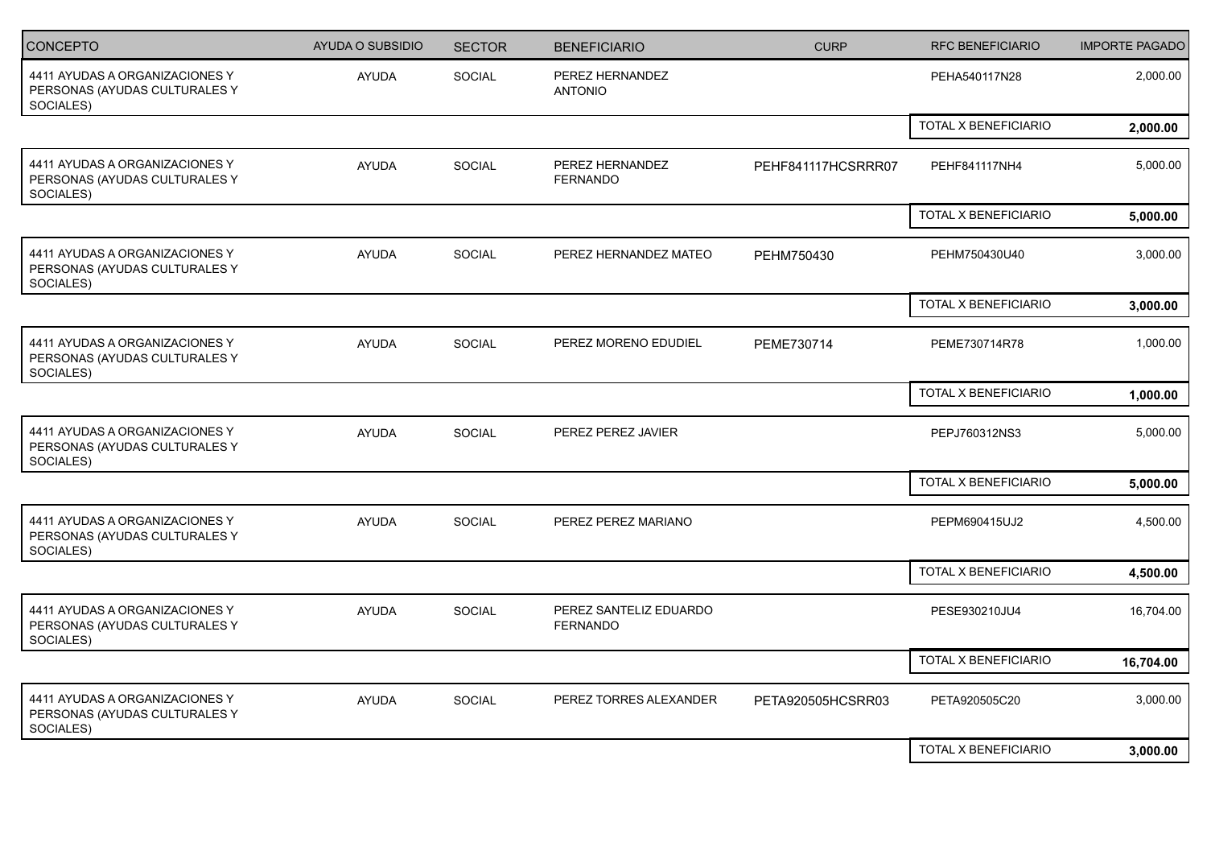| CONCEPTO                                                                     | <b>AYUDA O SUBSIDIO</b> | <b>SECTOR</b> | <b>BENEFICIARIO</b>                       | <b>CURP</b>        | <b>RFC BENEFICIARIO</b>     | <b>IMPORTE PAGADO</b> |
|------------------------------------------------------------------------------|-------------------------|---------------|-------------------------------------------|--------------------|-----------------------------|-----------------------|
| 4411 AYUDAS A ORGANIZACIONES Y<br>PERSONAS (AYUDAS CULTURALES Y<br>SOCIALES) | AYUDA                   | SOCIAL        | PEREZ HERNANDEZ<br><b>ANTONIO</b>         |                    | PEHA540117N28               | 2,000.00              |
|                                                                              |                         |               |                                           |                    | TOTAL X BENEFICIARIO        | 2,000.00              |
| 4411 AYUDAS A ORGANIZACIONES Y<br>PERSONAS (AYUDAS CULTURALES Y<br>SOCIALES) | <b>AYUDA</b>            | <b>SOCIAL</b> | PEREZ HERNANDEZ<br><b>FERNANDO</b>        | PEHF841117HCSRRR07 | PEHF841117NH4               | 5,000.00              |
|                                                                              |                         |               |                                           |                    | <b>TOTAL X BENEFICIARIO</b> | 5,000.00              |
| 4411 AYUDAS A ORGANIZACIONES Y<br>PERSONAS (AYUDAS CULTURALES Y<br>SOCIALES) | <b>AYUDA</b>            | SOCIAL        | PEREZ HERNANDEZ MATEO                     | PEHM750430         | PEHM750430U40               | 3,000.00              |
|                                                                              |                         |               |                                           |                    | TOTAL X BENEFICIARIO        | 3,000.00              |
| 4411 AYUDAS A ORGANIZACIONES Y<br>PERSONAS (AYUDAS CULTURALES Y<br>SOCIALES) | <b>AYUDA</b>            | SOCIAL        | PEREZ MORENO EDUDIEL                      | PEME730714         | PEME730714R78               | 1,000.00              |
|                                                                              |                         |               |                                           |                    | TOTAL X BENEFICIARIO        | 1,000.00              |
| 4411 AYUDAS A ORGANIZACIONES Y<br>PERSONAS (AYUDAS CULTURALES Y<br>SOCIALES) | <b>AYUDA</b>            | SOCIAL        | PEREZ PEREZ JAVIER                        |                    | PEPJ760312NS3               | 5,000.00              |
|                                                                              |                         |               |                                           |                    | TOTAL X BENEFICIARIO        | 5,000.00              |
| 4411 AYUDAS A ORGANIZACIONES Y<br>PERSONAS (AYUDAS CULTURALES Y<br>SOCIALES) | <b>AYUDA</b>            | SOCIAL        | PEREZ PEREZ MARIANO                       |                    | PEPM690415UJ2               | 4,500.00              |
|                                                                              |                         |               |                                           |                    | TOTAL X BENEFICIARIO        | 4,500.00              |
| 4411 AYUDAS A ORGANIZACIONES Y<br>PERSONAS (AYUDAS CULTURALES Y<br>SOCIALES) | <b>AYUDA</b>            | SOCIAL        | PEREZ SANTELIZ EDUARDO<br><b>FERNANDO</b> |                    | PESE930210JU4               | 16,704.00             |
|                                                                              |                         |               |                                           |                    | TOTAL X BENEFICIARIO        | 16,704.00             |
| 4411 AYUDAS A ORGANIZACIONES Y<br>PERSONAS (AYUDAS CULTURALES Y<br>SOCIALES) | <b>AYUDA</b>            | <b>SOCIAL</b> | PEREZ TORRES ALEXANDER                    | PETA920505HCSRR03  | PETA920505C20               | 3,000.00              |
|                                                                              |                         |               |                                           |                    | TOTAL X BENEFICIARIO        | 3,000.00              |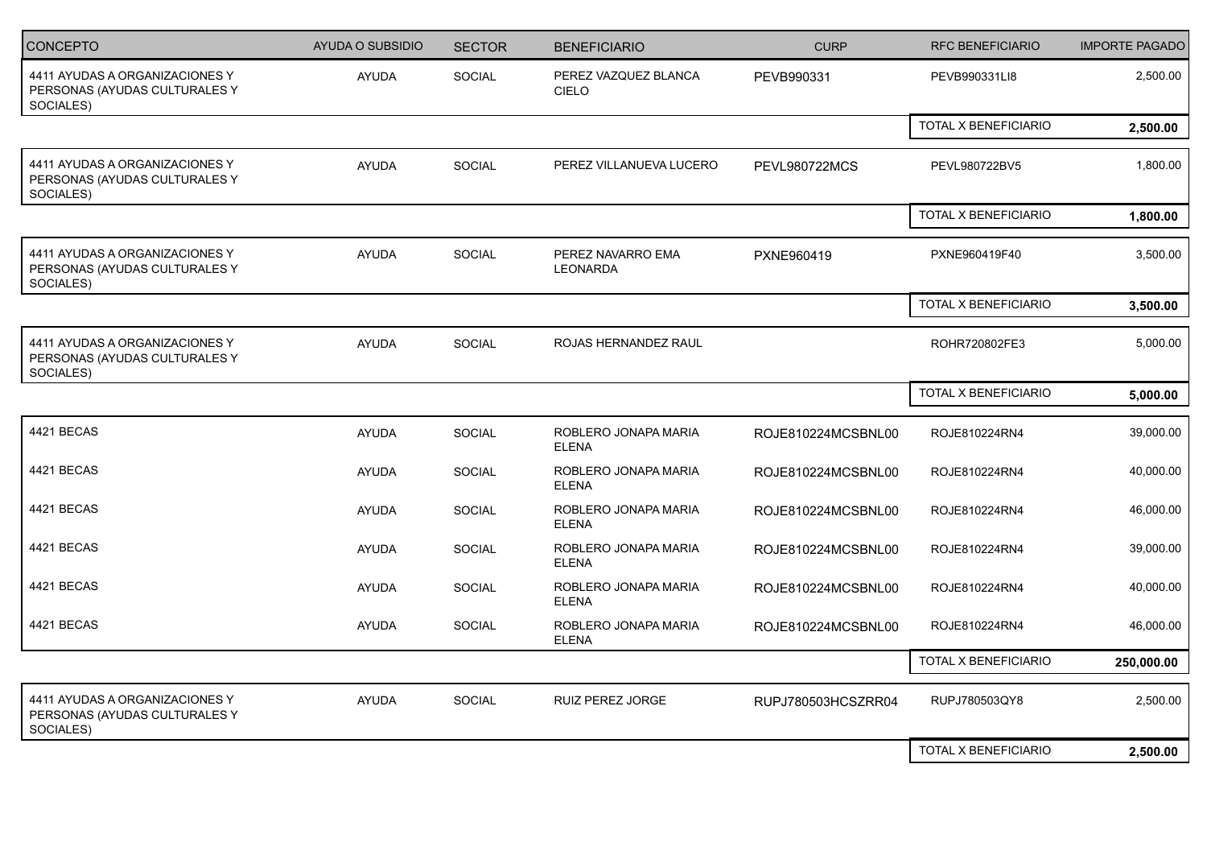| <b>CONCEPTO</b>                                                              | <b>AYUDA O SUBSIDIO</b> | <b>SECTOR</b> | <b>BENEFICIARIO</b>                  | <b>CURP</b>          | <b>RFC BENEFICIARIO</b> | <b>IMPORTE PAGADO</b> |
|------------------------------------------------------------------------------|-------------------------|---------------|--------------------------------------|----------------------|-------------------------|-----------------------|
| 4411 AYUDAS A ORGANIZACIONES Y<br>PERSONAS (AYUDAS CULTURALES Y<br>SOCIALES) | <b>AYUDA</b>            | <b>SOCIAL</b> | PEREZ VAZQUEZ BLANCA<br><b>CIELO</b> | PEVB990331           | PEVB990331LI8           | 2,500.00              |
|                                                                              |                         |               |                                      |                      | TOTAL X BENEFICIARIO    | 2,500.00              |
| 4411 AYUDAS A ORGANIZACIONES Y<br>PERSONAS (AYUDAS CULTURALES Y<br>SOCIALES) | <b>AYUDA</b>            | <b>SOCIAL</b> | PEREZ VILLANUEVA LUCERO              | <b>PEVL980722MCS</b> | PEVL980722BV5           | 1,800.00              |
|                                                                              |                         |               |                                      |                      | TOTAL X BENEFICIARIO    | 1,800.00              |
| 4411 AYUDAS A ORGANIZACIONES Y<br>PERSONAS (AYUDAS CULTURALES Y<br>SOCIALES) | <b>AYUDA</b>            | <b>SOCIAL</b> | PEREZ NAVARRO EMA<br>LEONARDA        | PXNE960419           | PXNE960419F40           | 3,500.00              |
|                                                                              |                         |               |                                      |                      | TOTAL X BENEFICIARIO    | 3,500.00              |
| 4411 AYUDAS A ORGANIZACIONES Y<br>PERSONAS (AYUDAS CULTURALES Y<br>SOCIALES) | <b>AYUDA</b>            | <b>SOCIAL</b> | ROJAS HERNANDEZ RAUL                 |                      | ROHR720802FE3           | 5,000.00              |
|                                                                              |                         |               |                                      |                      | TOTAL X BENEFICIARIO    | 5,000.00              |
| 4421 BECAS                                                                   | <b>AYUDA</b>            | <b>SOCIAL</b> | ROBLERO JONAPA MARIA<br><b>ELENA</b> | ROJE810224MCSBNL00   | ROJE810224RN4           | 39,000.00             |
| 4421 BECAS                                                                   | <b>AYUDA</b>            | SOCIAL        | ROBLERO JONAPA MARIA<br><b>ELENA</b> | ROJE810224MCSBNL00   | ROJE810224RN4           | 40,000.00             |
| 4421 BECAS                                                                   | AYUDA                   | SOCIAL        | ROBLERO JONAPA MARIA<br><b>ELENA</b> | ROJE810224MCSBNL00   | ROJE810224RN4           | 46,000.00             |
| 4421 BECAS                                                                   | <b>AYUDA</b>            | <b>SOCIAL</b> | ROBLERO JONAPA MARIA<br><b>ELENA</b> | ROJE810224MCSBNL00   | ROJE810224RN4           | 39,000.00             |
| 4421 BECAS                                                                   | <b>AYUDA</b>            | SOCIAL        | ROBLERO JONAPA MARIA<br><b>ELENA</b> | ROJE810224MCSBNL00   | ROJE810224RN4           | 40,000.00             |
| 4421 BECAS                                                                   | AYUDA                   | SOCIAL        | ROBLERO JONAPA MARIA<br><b>ELENA</b> | ROJE810224MCSBNL00   | ROJE810224RN4           | 46,000.00             |
|                                                                              |                         |               |                                      |                      | TOTAL X BENEFICIARIO    | 250,000.00            |
| 4411 AYUDAS A ORGANIZACIONES Y<br>PERSONAS (AYUDAS CULTURALES Y<br>SOCIALES) | <b>AYUDA</b>            | <b>SOCIAL</b> | RUIZ PEREZ JORGE                     | RUPJ780503HCSZRR04   | RUPJ780503QY8           | 2,500.00              |
|                                                                              |                         |               |                                      |                      | TOTAL X BENEFICIARIO    | 2,500.00              |